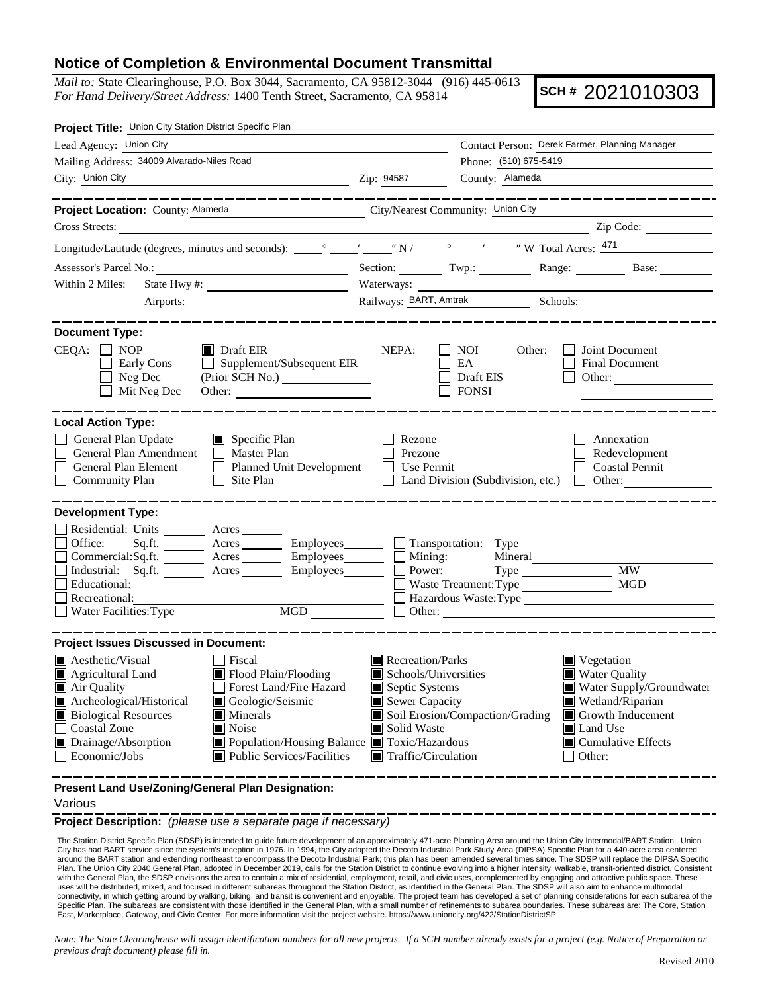## **Notice of Completion & Environmental Document Transmittal**

*Mail to:* State Clearinghouse, P.O. Box 3044, Sacramento, CA 95812-3044 (916) 445-0613 *For Hand Delivery/Street Address:* 1400 Tenth Street, Sacramento, CA 95814

**SCH #** 2021010303

| Project Title: Union City Station District Specific Plan                                                                                                                                                                                                                                                                                                                                                        |                                                                                                                                   |                                                                                    |                                                                                                                                                                                                         |
|-----------------------------------------------------------------------------------------------------------------------------------------------------------------------------------------------------------------------------------------------------------------------------------------------------------------------------------------------------------------------------------------------------------------|-----------------------------------------------------------------------------------------------------------------------------------|------------------------------------------------------------------------------------|---------------------------------------------------------------------------------------------------------------------------------------------------------------------------------------------------------|
| Lead Agency: Union City                                                                                                                                                                                                                                                                                                                                                                                         |                                                                                                                                   |                                                                                    | Contact Person: Derek Farmer, Planning Manager                                                                                                                                                          |
| Mailing Address: 34009 Alvarado-Niles Road                                                                                                                                                                                                                                                                                                                                                                      |                                                                                                                                   | Phone: (510) 675-5419                                                              |                                                                                                                                                                                                         |
| City: Union City<br>$\frac{1}{2}$ Zip: 94587                                                                                                                                                                                                                                                                                                                                                                    |                                                                                                                                   | County: Alameda                                                                    |                                                                                                                                                                                                         |
| Project Location: County: Alameda<br>City/Nearest Community: Union City                                                                                                                                                                                                                                                                                                                                         |                                                                                                                                   |                                                                                    |                                                                                                                                                                                                         |
| Cross Streets:                                                                                                                                                                                                                                                                                                                                                                                                  |                                                                                                                                   |                                                                                    | Zip Code:                                                                                                                                                                                               |
|                                                                                                                                                                                                                                                                                                                                                                                                                 |                                                                                                                                   |                                                                                    |                                                                                                                                                                                                         |
|                                                                                                                                                                                                                                                                                                                                                                                                                 |                                                                                                                                   |                                                                                    | Section: Twp.: Range: Base:                                                                                                                                                                             |
| Within 2 Miles:<br>State Hwy #:                                                                                                                                                                                                                                                                                                                                                                                 | Waterways:                                                                                                                        |                                                                                    |                                                                                                                                                                                                         |
|                                                                                                                                                                                                                                                                                                                                                                                                                 |                                                                                                                                   |                                                                                    |                                                                                                                                                                                                         |
|                                                                                                                                                                                                                                                                                                                                                                                                                 |                                                                                                                                   |                                                                                    |                                                                                                                                                                                                         |
| <b>Document Type:</b><br>$CEQA: \Box NP$<br>$\blacksquare$ Draft EIR<br>$\Box$ Supplement/Subsequent EIR<br>Early Cons<br>Neg Dec<br>Mit Neg Dec<br>Other:                                                                                                                                                                                                                                                      | NEPA:                                                                                                                             | NOI<br>Other:<br>EA<br>Draft EIS<br><b>FONSI</b>                                   | Joint Document<br>Final Document<br>Other:                                                                                                                                                              |
| <b>Local Action Type:</b>                                                                                                                                                                                                                                                                                                                                                                                       |                                                                                                                                   |                                                                                    |                                                                                                                                                                                                         |
| General Plan Update<br>Specific Plan<br>General Plan Amendment<br>$\Box$ Master Plan<br>General Plan Element<br>Planned Unit Development<br>$\Box$ Community Plan<br>  Site Plan                                                                                                                                                                                                                                | Rezone<br>Prezone<br>Use Permit                                                                                                   |                                                                                    | Annexation<br>Redevelopment<br><b>Coastal Permit</b><br>Land Division (Subdivision, etc.) $\Box$ Other:                                                                                                 |
| <b>Development Type:</b><br>Residential: Units ________ Acres _______<br>Office:<br>Employees_______<br>Commercial:Sq.ft. ________ Acres _______<br>Industrial: Sq.ft. ________ Acres ________ Employees _______ __ Power:<br>Educational:<br>Recreational:<br>MGD<br>Water Facilities: Type                                                                                                                    | Employees<br><u> Solution:</u> Type<br>$\Box$ Mining:                                                                             | Mineral<br>Type<br>Waste Treatment: Type<br>Hazardous Waste: Type<br>$\Box$ Other: | <b>MW</b><br>MGD                                                                                                                                                                                        |
| <b>Project Issues Discussed in Document:</b>                                                                                                                                                                                                                                                                                                                                                                    |                                                                                                                                   |                                                                                    |                                                                                                                                                                                                         |
| <b>A</b> esthetic/Visual<br>l Fiscal<br>Flood Plain/Flooding<br>Agricultural Land<br>Forest Land/Fire Hazard<br>Air Quality<br>Archeological/Historical<br>Geologic/Seismic<br><b>Biological Resources</b><br>$\blacksquare$ Minerals<br><b>Coastal Zone</b><br>$\blacksquare$ Noise<br>Drainage/Absorption<br>Population/Housing Balance Toxic/Hazardous<br>$\Box$ Economic/Jobs<br>Public Services/Facilities | Recreation/Parks<br>Schools/Universities<br>Septic Systems<br>Sewer Capacity<br>Solid Waste<br>$\blacksquare$ Traffic/Circulation | Soil Erosion/Compaction/Grading                                                    | Vegetation<br><b>Water Quality</b><br>Water Supply/Groundwater<br>Wetland/Riparian<br>$\blacksquare$ Growth Inducement<br>$\blacksquare$ Land Use<br>$\blacksquare$ Cumulative Effects<br>$\Box$ Other: |

**Present Land Use/Zoning/General Plan Designation:**

## Various

**Project Description:** *(please use a separate page if necessary)*

The Station District Specific Plan (SDSP) is intended to guide future development of an approximately 471-acre Planning Area around the Union City Intermodal/BART Station. Union City has had BART service since the system's inception in 1976. In 1994, the City adopted the Decoto Industrial Park Study Area (DIPSA) Specific Plan for a 440-acre area centered around the BART station and extending northeast to encompass the Decoto Industrial Park; this plan has been amended several times since. The SDSP will replace the DIPSA Specific Plan. The Union City 2040 General Plan, adopted in December 2019, calls for the Station District to continue evolving into a higher intensity, walkable, transit-oriented district. Consistent with the General Plan, the SDSP envisions the area to contain a mix of residential, employment, retail, and civic uses, complemented by engaging and attractive public space. These<br>uses will be distributed, mixed, and focus connectivity, in which getting around by walking, biking, and transit is convenient and enjoyable. The project team has developed a set of planning considerations for each subarea of the Specific Plan. The subareas are consistent with those identified in the General Plan, with a small number of refinements to subarea boundaries. These subareas are: The Core, Station East, Marketplace, Gateway, and Civic Center. For more information visit the project website. https://www.unioncity.org/422/StationDistrictSP

*Note: The State Clearinghouse will assign identification numbers for all new projects. If a SCH number already exists for a project (e.g. Notice of Preparation or previous draft document) please fill in.*